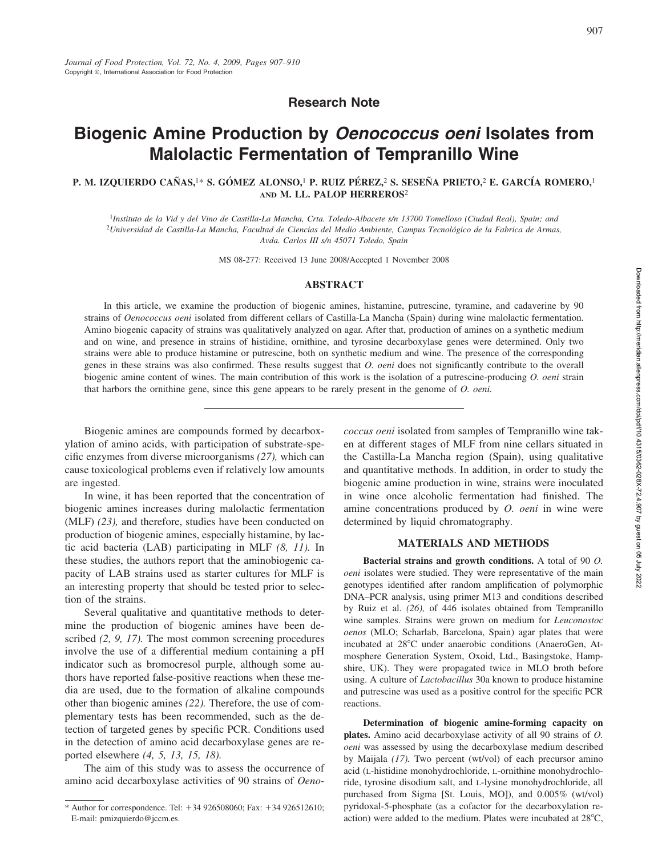**Research Note**

# **Biogenic Amine Production by** *Oenococcus oeni* **Isolates from Malolactic Fermentation of Tempranillo Wine**

## **P. M. IZQUIERDO CAN˜ AS,**1\* **S. GO´ MEZ ALONSO,**<sup>1</sup> **P. RUIZ PE´ REZ,**<sup>2</sup> **S. SESEN˜ A PRIETO,**<sup>2</sup> **E. GARCI´A ROMERO,**<sup>1</sup> **AND M. LL. PALOP HERREROS**<sup>2</sup>

<sup>1</sup>*Instituto de la Vid y del Vino de Castilla-La Mancha, Crta. Toledo-Albacete s/n 13700 Tomelloso (Ciudad Real), Spain; and* <sup>2</sup>*Universidad de Castilla-La Mancha, Facultad de Ciencias del Medio Ambiente, Campus Tecnolo´gico de la Fabrica de Armas, Avda. Carlos III s/n 45071 Toledo, Spain*

MS 08-277: Received 13 June 2008/Accepted 1 November 2008

#### **ABSTRACT**

In this article, we examine the production of biogenic amines, histamine, putrescine, tyramine, and cadaverine by 90 strains of *Oenococcus oeni* isolated from different cellars of Castilla-La Mancha (Spain) during wine malolactic fermentation. Amino biogenic capacity of strains was qualitatively analyzed on agar. After that, production of amines on a synthetic medium and on wine, and presence in strains of histidine, ornithine, and tyrosine decarboxylase genes were determined. Only two strains were able to produce histamine or putrescine, both on synthetic medium and wine. The presence of the corresponding genes in these strains was also confirmed. These results suggest that *O. oeni* does not significantly contribute to the overall biogenic amine content of wines. The main contribution of this work is the isolation of a putrescine-producing *O. oeni* strain that harbors the ornithine gene, since this gene appears to be rarely present in the genome of *O. oeni.*

Biogenic amines are compounds formed by decarboxylation of amino acids, with participation of substrate-specific enzymes from diverse microorganisms *(27),* which can cause toxicological problems even if relatively low amounts are ingested.

In wine, it has been reported that the concentration of biogenic amines increases during malolactic fermentation (MLF) *(23),* and therefore, studies have been conducted on production of biogenic amines, especially histamine, by lactic acid bacteria (LAB) participating in MLF *(8, 11).* In these studies, the authors report that the aminobiogenic capacity of LAB strains used as starter cultures for MLF is an interesting property that should be tested prior to selection of the strains.

Several qualitative and quantitative methods to determine the production of biogenic amines have been described *(2, 9, 17).* The most common screening procedures involve the use of a differential medium containing a pH indicator such as bromocresol purple, although some authors have reported false-positive reactions when these media are used, due to the formation of alkaline compounds other than biogenic amines *(22).* Therefore, the use of complementary tests has been recommended, such as the detection of targeted genes by specific PCR. Conditions used in the detection of amino acid decarboxylase genes are reported elsewhere *(4, 5, 13, 15, 18).*

The aim of this study was to assess the occurrence of amino acid decarboxylase activities of 90 strains of *Oeno-* *coccus oeni* isolated from samples of Tempranillo wine taken at different stages of MLF from nine cellars situated in the Castilla-La Mancha region (Spain), using qualitative and quantitative methods. In addition, in order to study the biogenic amine production in wine, strains were inoculated in wine once alcoholic fermentation had finished. The amine concentrations produced by *O. oeni* in wine were determined by liquid chromatography.

#### **MATERIALS AND METHODS**

**Bacterial strains and growth conditions.** A total of 90 *O. oeni* isolates were studied. They were representative of the main genotypes identified after random amplification of polymorphic DNA–PCR analysis, using primer M13 and conditions described by Ruiz et al. *(26),* of 446 isolates obtained from Tempranillo wine samples. Strains were grown on medium for *Leuconostoc oenos* (MLO; Scharlab, Barcelona, Spain) agar plates that were incubated at 28°C under anaerobic conditions (AnaeroGen, Atmosphere Generation System, Oxoid, Ltd., Basingstoke, Hampshire, UK). They were propagated twice in MLO broth before using. A culture of *Lactobacillus* 30a known to produce histamine and putrescine was used as a positive control for the specific PCR reactions.

**Determination of biogenic amine-forming capacity on plates.** Amino acid decarboxylase activity of all 90 strains of *O. oeni* was assessed by using the decarboxylase medium described by Maijala *(17).* Two percent (wt/vol) of each precursor amino acid (L-histidine monohydrochloride, L-ornithine monohydrochloride, tyrosine disodium salt, and L-lysine monohydrochloride, all purchased from Sigma [St. Louis, MO]), and 0.005% (wt/vol) pyridoxal-5-phosphate (as a cofactor for the decarboxylation reaction) were added to the medium. Plates were incubated at  $28^{\circ}$ C,

<sup>\*</sup> Author for correspondence. Tel: -34 926508060; Fax: -34 926512610; E-mail: pmizquierdo@jccm.es.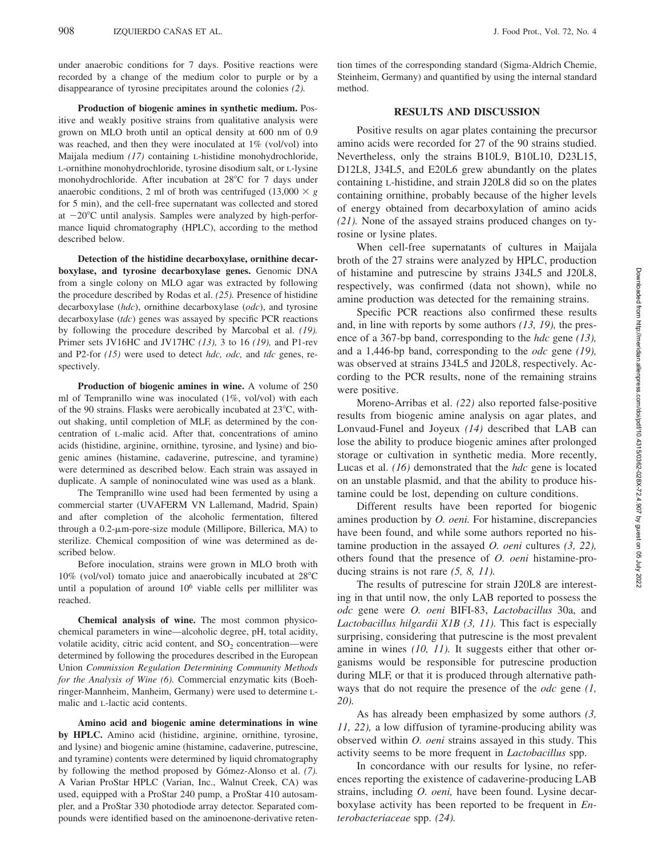under anaerobic conditions for 7 days. Positive reactions were recorded by a change of the medium color to purple or by a disappearance of tyrosine precipitates around the colonies *(2).*

**Production of biogenic amines in synthetic medium.** Positive and weakly positive strains from qualitative analysis were grown on MLO broth until an optical density at 600 nm of 0.9 was reached, and then they were inoculated at  $1\%$  (vol/vol) into Maijala medium *(17)* containing L-histidine monohydrochloride, L-ornithine monohydrochloride, tyrosine disodium salt, or L-lysine monohydrochloride. After incubation at 28°C for 7 days under anaerobic conditions, 2 ml of broth was centrifuged  $(13,000 \times g)$ for 5 min), and the cell-free supernatant was collected and stored at  $-20^{\circ}$ C until analysis. Samples were analyzed by high-performance liquid chromatography (HPLC), according to the method described below.

**Detection of the histidine decarboxylase, ornithine decarboxylase, and tyrosine decarboxylase genes.** Genomic DNA from a single colony on MLO agar was extracted by following the procedure described by Rodas et al. *(25).* Presence of histidine decarboxylase (*hdc*), ornithine decarboxylase (*odc*), and tyrosine decarboxylase (*tdc*) genes was assayed by specific PCR reactions by following the procedure described by Marcobal et al. *(19).* Primer sets JV16HC and JV17HC *(13),* 3 to 16 *(19),* and P1-rev and P2-for *(15)* were used to detect *hdc, odc,* and *tdc* genes, respectively.

**Production of biogenic amines in wine.** A volume of 250 ml of Tempranillo wine was inoculated (1%, vol/vol) with each of the 90 strains. Flasks were aerobically incubated at  $23^{\circ}$ C, without shaking, until completion of MLF, as determined by the concentration of L-malic acid. After that, concentrations of amino acids (histidine, arginine, ornithine, tyrosine, and lysine) and biogenic amines (histamine, cadaverine, putrescine, and tyramine) were determined as described below. Each strain was assayed in duplicate. A sample of noninoculated wine was used as a blank.

The Tempranillo wine used had been fermented by using a commercial starter (UVAFERM VN Lallemand, Madrid, Spain) and after completion of the alcoholic fermentation, filtered through a 0.2-µm-pore-size module (Millipore, Billerica, MA) to sterilize. Chemical composition of wine was determined as described below.

Before inoculation, strains were grown in MLO broth with 10% (vol/vol) tomato juice and anaerobically incubated at 28°C until a population of around 106 viable cells per milliliter was reached.

**Chemical analysis of wine.** The most common physicochemical parameters in wine—alcoholic degree, pH, total acidity, volatile acidity, citric acid content, and  $SO_2$  concentration—were determined by following the procedures described in the European Union *Commission Regulation Determining Community Methods for the Analysis of Wine (6).* Commercial enzymatic kits (Boehringer-Mannheim, Manheim, Germany) were used to determine Lmalic and L-lactic acid contents.

**Amino acid and biogenic amine determinations in wine by HPLC.** Amino acid (histidine, arginine, ornithine, tyrosine, and lysine) and biogenic amine (histamine, cadaverine, putrescine, and tyramine) contents were determined by liquid chromatography by following the method proposed by Gómez-Alonso et al. (7). A Varian ProStar HPLC (Varian, Inc., Walnut Creek, CA) was used, equipped with a ProStar 240 pump, a ProStar 410 autosampler, and a ProStar 330 photodiode array detector. Separated compounds were identified based on the aminoenone-derivative retention times of the corresponding standard (Sigma-Aldrich Chemie, Steinheim, Germany) and quantified by using the internal standard method.

## **RESULTS AND DISCUSSION**

Positive results on agar plates containing the precursor amino acids were recorded for 27 of the 90 strains studied. Nevertheless, only the strains B10L9, B10L10, D23L15, D12L8, J34L5, and E20L6 grew abundantly on the plates containing L-histidine, and strain J20L8 did so on the plates containing ornithine, probably because of the higher levels of energy obtained from decarboxylation of amino acids *(21).* None of the assayed strains produced changes on tyrosine or lysine plates.

When cell-free supernatants of cultures in Maijala broth of the 27 strains were analyzed by HPLC, production of histamine and putrescine by strains J34L5 and J20L8, respectively, was confirmed (data not shown), while no amine production was detected for the remaining strains.

Specific PCR reactions also confirmed these results and, in line with reports by some authors *(13, 19),* the presence of a 367-bp band, corresponding to the *hdc* gene *(13),* and a 1,446-bp band, corresponding to the *odc* gene *(19),* was observed at strains J34L5 and J20L8, respectively. According to the PCR results, none of the remaining strains were positive.

Moreno-Arribas et al. *(22)* also reported false-positive results from biogenic amine analysis on agar plates, and Lonvaud-Funel and Joyeux *(14)* described that LAB can lose the ability to produce biogenic amines after prolonged storage or cultivation in synthetic media. More recently, Lucas et al. *(16)* demonstrated that the *hdc* gene is located on an unstable plasmid, and that the ability to produce histamine could be lost, depending on culture conditions.

Different results have been reported for biogenic amines production by *O. oeni.* For histamine, discrepancies have been found, and while some authors reported no histamine production in the assayed *O. oeni* cultures *(3, 22),* others found that the presence of *O. oeni* histamine-producing strains is not rare *(5, 8, 11).*

The results of putrescine for strain J20L8 are interesting in that until now, the only LAB reported to possess the *odc* gene were *O. oeni* BIFI-83, *Lactobacillus* 30a, and *Lactobacillus hilgardii X1B (3, 11).* This fact is especially surprising, considering that putrescine is the most prevalent amine in wines *(10, 11)*. It suggests either that other organisms would be responsible for putrescine production during MLF, or that it is produced through alternative pathways that do not require the presence of the *odc* gene *(1, 20).*

As has already been emphasized by some authors *(3, 11, 22),* a low diffusion of tyramine-producing ability was observed within *O. oeni* strains assayed in this study. This activity seems to be more frequent in *Lactobacillus* spp.

In concordance with our results for lysine, no references reporting the existence of cadaverine-producing LAB strains, including *O. oeni,* have been found. Lysine decarboxylase activity has been reported to be frequent in *Enterobacteriaceae* spp. *(24).*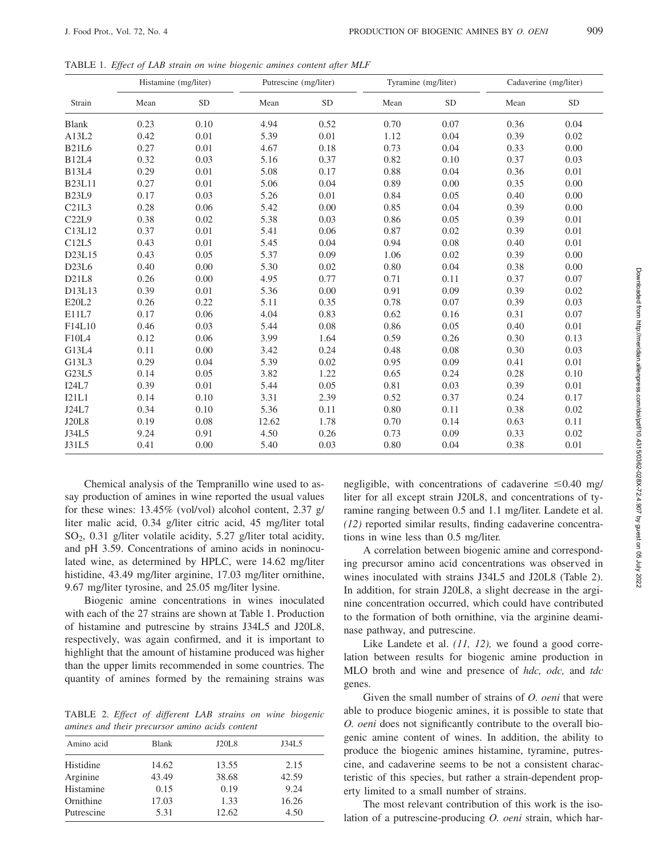TABLE 1. *Effect of LAB strain on wine biogenic amines content after MLF*

| Strain        | Histamine (mg/liter) |           | Putrescine (mg/liter) |           | Tyramine (mg/liter) |           | Cadaverine (mg/liter) |           |
|---------------|----------------------|-----------|-----------------------|-----------|---------------------|-----------|-----------------------|-----------|
|               | Mean                 | <b>SD</b> | Mean                  | <b>SD</b> | Mean                | <b>SD</b> | Mean                  | <b>SD</b> |
| <b>Blank</b>  | 0.23                 | 0.10      | 4.94                  | 0.52      | 0.70                | 0.07      | 0.36                  | 0.04      |
| A13L2         | 0.42                 | 0.01      | 5.39                  | 0.01      | 1.12                | 0.04      | 0.39                  | 0.02      |
| <b>B21L6</b>  | 0.27                 | 0.01      | 4.67                  | 0.18      | 0.73                | 0.04      | 0.33                  | 0.00      |
| <b>B12L4</b>  | 0.32                 | 0.03      | 5.16                  | 0.37      | 0.82                | 0.10      | 0.37                  | 0.03      |
| <b>B13L4</b>  | 0.29                 | 0.01      | 5.08                  | 0.17      | 0.88                | 0.04      | 0.36                  | 0.01      |
| <b>B23L11</b> | 0.27                 | 0.01      | 5.06                  | 0.04      | 0.89                | 0.00      | 0.35                  | 0.00      |
| <b>B23L9</b>  | 0.17                 | 0.03      | 5.26                  | 0.01      | 0.84                | 0.05      | 0.40                  | 0.00      |
| C21L3         | 0.28                 | 0.06      | 5.42                  | 0.00      | 0.85                | 0.04      | 0.39                  | 0.00      |
| C22L9         | 0.38                 | 0.02      | 5.38                  | 0.03      | 0.86                | 0.05      | 0.39                  | 0.01      |
| C13L12        | 0.37                 | 0.01      | 5.41                  | 0.06      | 0.87                | 0.02      | 0.39                  | 0.01      |
| C12L5         | 0.43                 | 0.01      | 5.45                  | 0.04      | 0.94                | 0.08      | 0.40                  | 0.01      |
| D23L15        | 0.43                 | 0.05      | 5.37                  | 0.09      | 1.06                | 0.02      | 0.39                  | 0.00      |
| D23L6         | 0.40                 | 0.00      | 5.30                  | 0.02      | 0.80                | 0.04      | 0.38                  | 0.00      |
| D21L8         | 0.26                 | 0.00      | 4.95                  | 0.77      | 0.71                | 0.11      | 0.37                  | 0.07      |
| D13L13        | 0.39                 | 0.01      | 5.36                  | 0.00      | 0.91                | 0.09      | 0.39                  | 0.02      |
| E20L2         | 0.26                 | 0.22      | 5.11                  | 0.35      | 0.78                | 0.07      | 0.39                  | 0.03      |
| E11L7         | 0.17                 | 0.06      | 4.04                  | 0.83      | 0.62                | 0.16      | 0.31                  | 0.07      |
| F14L10        | 0.46                 | 0.03      | 5.44                  | 0.08      | 0.86                | 0.05      | 0.40                  | 0.01      |
| F10L4         | 0.12                 | 0.06      | 3.99                  | 1.64      | 0.59                | 0.26      | 0.30                  | 0.13      |
| G13L4         | 0.11                 | 0.00      | 3.42                  | 0.24      | 0.48                | 0.08      | 0.30                  | 0.03      |
| G13L3         | 0.29                 | 0.04      | 5.39                  | 0.02      | 0.95                | 0.09      | 0.41                  | 0.01      |
| G23L5         | 0.14                 | 0.05      | 3.82                  | 1.22      | 0.65                | 0.24      | 0.28                  | 0.10      |
| I24L7         | 0.39                 | 0.01      | 5.44                  | 0.05      | 0.81                | 0.03      | 0.39                  | 0.01      |
| I21L1         | 0.14                 | 0.10      | 3.31                  | 2.39      | 0.52                | 0.37      | 0.24                  | 0.17      |
| J24L7         | 0.34                 | 0.10      | 5.36                  | 0.11      | 0.80                | 0.11      | 0.38                  | 0.02      |
| <b>J20L8</b>  | 0.19                 | 0.08      | 12.62                 | 1.78      | 0.70                | 0.14      | 0.63                  | 0.11      |
| J34L5         | 9.24                 | 0.91      | 4.50                  | 0.26      | 0.73                | 0.09      | 0.33                  | 0.02      |
| J31L5         | 0.41                 | 0.00      | 5.40                  | 0.03      | 0.80                | 0.04      | 0.38                  | 0.01      |

Chemical analysis of the Tempranillo wine used to assay production of amines in wine reported the usual values for these wines: 13.45% (vol/vol) alcohol content, 2.37 g/ liter malic acid, 0.34 g/liter citric acid, 45 mg/liter total  $SO<sub>2</sub>$ , 0.31 g/liter volatile acidity, 5.27 g/liter total acidity, and pH 3.59. Concentrations of amino acids in noninoculated wine, as determined by HPLC, were 14.62 mg/liter histidine, 43.49 mg/liter arginine, 17.03 mg/liter ornithine, 9.67 mg/liter tyrosine, and 25.05 mg/liter lysine.

Biogenic amine concentrations in wines inoculated with each of the 27 strains are shown at Table 1. Production of histamine and putrescine by strains J34L5 and J20L8, respectively, was again confirmed, and it is important to highlight that the amount of histamine produced was higher than the upper limits recommended in some countries. The quantity of amines formed by the remaining strains was

TABLE 2. *Effect of different LAB strains on wine biogenic amines and their precursor amino acids content*

| Amino acid | <b>Blank</b> | J20L8 | J34L5 |
|------------|--------------|-------|-------|
| Histidine  | 14.62        | 13.55 | 2.15  |
| Arginine   | 43.49        | 38.68 | 42.59 |
| Histamine  | 0.15         | 0.19  | 9.24  |
| Ornithine  | 17.03        | 1.33  | 16.26 |
| Putrescine | 5.31         | 12.62 | 4.50  |

negligible, with concentrations of cadaverine  $\leq 0.40$  mg/ liter for all except strain J20L8, and concentrations of tyramine ranging between 0.5 and 1.1 mg/liter. Landete et al. *(12)* reported similar results, finding cadaverine concentrations in wine less than 0.5 mg/liter.

A correlation between biogenic amine and corresponding precursor amino acid concentrations was observed in wines inoculated with strains J34L5 and J20L8 (Table 2). In addition, for strain J20L8, a slight decrease in the arginine concentration occurred, which could have contributed to the formation of both ornithine, via the arginine deaminase pathway, and putrescine.

Like Landete et al. *(11, 12)*, we found a good correlation between results for biogenic amine production in MLO broth and wine and presence of *hdc, odc,* and *tdc* genes.

Given the small number of strains of *O. oeni* that were able to produce biogenic amines, it is possible to state that *O. oeni* does not significantly contribute to the overall biogenic amine content of wines. In addition, the ability to produce the biogenic amines histamine, tyramine, putrescine, and cadaverine seems to be not a consistent characteristic of this species, but rather a strain-dependent property limited to a small number of strains.

The most relevant contribution of this work is the isolation of a putrescine-producing *O. oeni* strain, which har